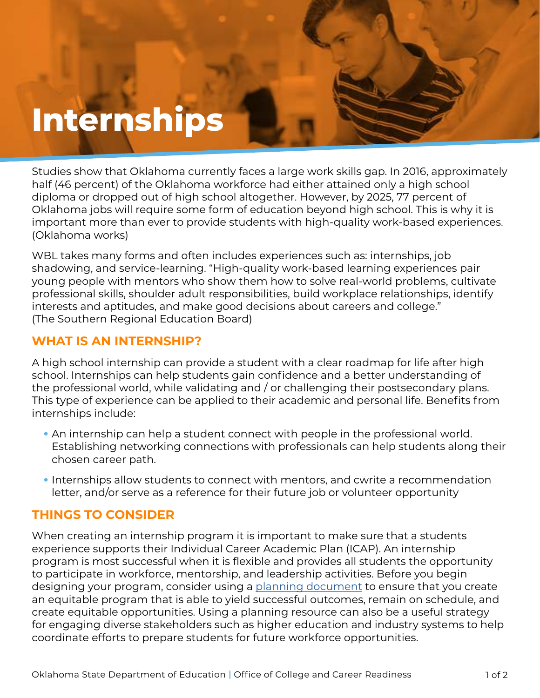# **Internships**

Studies show that Oklahoma currently faces a large work skills gap. In 2016, approximately half (46 percent) of the Oklahoma workforce had either attained only a high school diploma or dropped out of high school altogether. However, by 2025, 77 percent of Oklahoma jobs will require some form of education beyond high school. This is why it is important more than ever to provide students with high-quality work-based experiences. (Oklahoma works)

WBL takes many forms and often includes experiences such as: internships, job shadowing, and service-learning. "High-quality work-based learning experiences pair young people with mentors who show them how to solve real-world problems, cultivate professional skills, shoulder adult responsibilities, build workplace relationships, identify interests and aptitudes, and make good decisions about careers and college." (The Southern Regional Education Board)

## **WHAT IS AN INTERNSHIP?**

A high school internship can provide a student with a clear roadmap for life after high school. Internships can help students gain confidence and a better understanding of the professional world, while validating and / or challenging their postsecondary plans. This type of experience can be applied to their academic and personal life. Benefits from internships include:

- An internship can help a student connect with people in the professional world. Establishing networking connections with professionals can help students along their chosen career path.
- Internships allow students to connect with mentors, and cwrite a recommendation letter, and/or serve as a reference for their future job or volunteer opportunity

## **THINGS TO CONSIDER**

When creating an internship program it is important to make sure that a students experience supports their Individual Career Academic Plan (ICAP). An internship program is most successful when it is flexible and provides all students the opportunity to participate in workforce, mentorship, and leadership activities. Before you begin designing your program, consider using a [planning document](https://www.okedge.com/industry-engagement-action-planner-fillable-form47/) to ensure that you create an equitable program that is able to yield successful outcomes, remain on schedule, and create equitable opportunities. Using a planning resource can also be a useful strategy for engaging diverse stakeholders such as higher education and industry systems to help coordinate efforts to prepare students for future workforce opportunities.